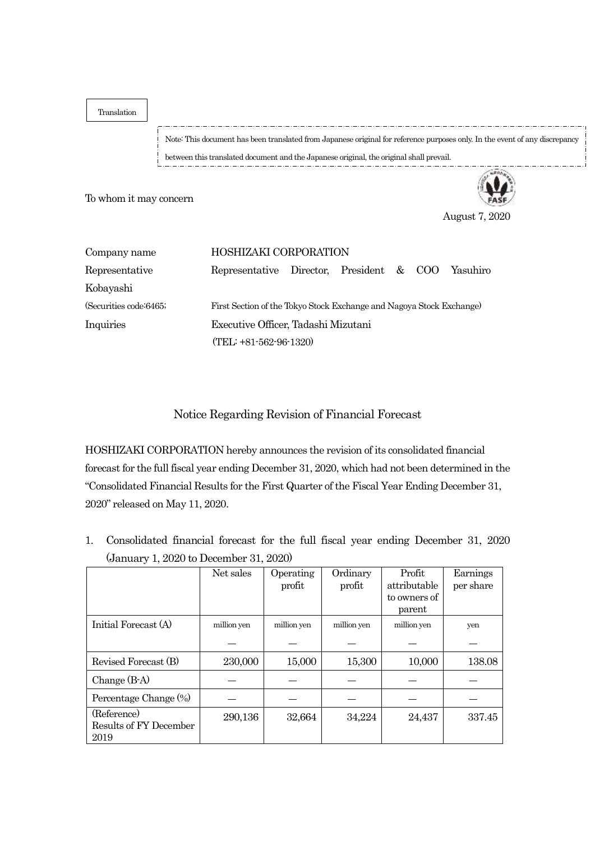Translation

Note: This document has been translated from Japanese original for reference purposes only. In the event of any discrepancy between this translated document and the Japanese original, the original shall prevail.

To whom it may concern



August 7, 2020

| Company name            | <b>HOSHIZAKI CORPORATION</b>                                         |  |  |  |  |  |  |  |
|-------------------------|----------------------------------------------------------------------|--|--|--|--|--|--|--|
| Representative          | Representative Director, President & COO Yasuhiro                    |  |  |  |  |  |  |  |
| Kobayashi               |                                                                      |  |  |  |  |  |  |  |
| (Securities code: 6465; | First Section of the Tokyo Stock Exchange and Nagoya Stock Exchange) |  |  |  |  |  |  |  |
| Inquiries               | Executive Officer, Tadashi Mizutani                                  |  |  |  |  |  |  |  |
|                         | (TEL: +81-562-96-1320)                                               |  |  |  |  |  |  |  |

Notice Regarding Revision of Financial Forecast

HOSHIZAKI CORPORATION hereby announces the revision of its consolidated financial forecast for the full fiscal year ending December 31, 2020, which had not been determined in the "Consolidated Financial Results for the First Quarter of the Fiscal Year Ending December 31, 2020" released on May 11, 2020.

1. Consolidated financial forecast for the full fiscal year ending December 31, 2020 (January 1, 2020 to December 31, 2020)

|                        | Net sales   | Operating   | Ordinary    | Profit       | Earnings  |
|------------------------|-------------|-------------|-------------|--------------|-----------|
|                        |             | profit      | profit      | attributable | per share |
|                        |             |             |             | to owners of |           |
|                        |             |             |             | parent       |           |
| Initial Forecast (A)   | million yen | million yen | million yen | million yen  | yen       |
|                        |             |             |             |              |           |
| Revised Forecast (B)   | 230,000     | 15,000      | 15,300      | 10,000       | 138.08    |
| Change $(B-A)$         |             |             |             |              |           |
| Percentage Change (%)  |             |             |             |              |           |
| (Reference)            | 290,136     | 32,664      | 34,224      | 24,437       | 337.45    |
| Results of FY December |             |             |             |              |           |
| 2019                   |             |             |             |              |           |